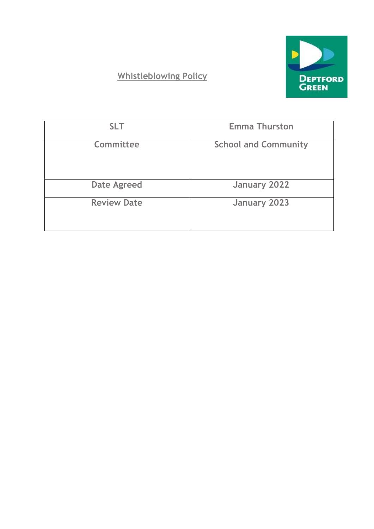

# **Whistleblowing Policy**

| <b>SLT</b>         | <b>Emma Thurston</b>        |
|--------------------|-----------------------------|
| Committee          | <b>School and Community</b> |
| <b>Date Agreed</b> | January 2022                |
| <b>Review Date</b> | January 2023                |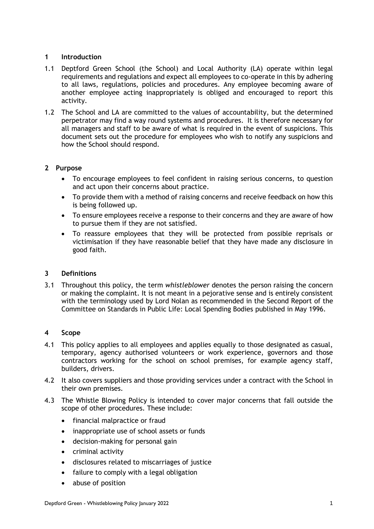# **1 Introduction**

- 1.1 Deptford Green School (the School) and Local Authority (LA) operate within legal requirements and regulations and expect all employees to co-operate in this by adhering to all laws, regulations, policies and procedures. Any employee becoming aware of another employee acting inappropriately is obliged and encouraged to report this activity.
- 1.2 The School and LA are committed to the values of accountability, but the determined perpetrator may find a way round systems and procedures. It is therefore necessary for all managers and staff to be aware of what is required in the event of suspicions. This document sets out the procedure for employees who wish to notify any suspicions and how the School should respond.

# **2 Purpose**

- To encourage employees to feel confident in raising serious concerns, to question and act upon their concerns about practice.
- To provide them with a method of raising concerns and receive feedback on how this is being followed up.
- To ensure employees receive a response to their concerns and they are aware of how to pursue them if they are not satisfied.
- To reassure employees that they will be protected from possible reprisals or victimisation if they have reasonable belief that they have made any disclosure in good faith.

## **3 Definitions**

3.1 Throughout this policy, the term *whistleblower* denotes the person raising the concern or making the complaint. It is not meant in a pejorative sense and is entirely consistent with the terminology used by Lord Nolan as recommended in the Second Report of the Committee on Standards in Public Life: Local Spending Bodies published in May 1996.

## **4 Scope**

- 4.1 This policy applies to all employees and applies equally to those designated as casual, temporary, agency authorised volunteers or work experience, governors and those contractors working for the school on school premises, for example agency staff, builders, drivers.
- 4.2 It also covers suppliers and those providing services under a contract with the School in their own premises.
- 4.3 The Whistle Blowing Policy is intended to cover major concerns that fall outside the scope of other procedures. These include:
	- financial malpractice or fraud
	- inappropriate use of school assets or funds
	- decision-making for personal gain
	- criminal activity
	- disclosures related to miscarriages of justice
	- failure to comply with a legal obligation
	- abuse of position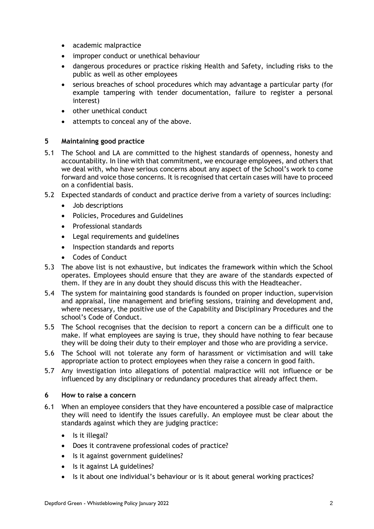- academic malpractice
- improper conduct or unethical behaviour
- dangerous procedures or practice risking Health and Safety, including risks to the public as well as other employees
- serious breaches of school procedures which may advantage a particular party (for example tampering with tender documentation, failure to register a personal interest)
- other unethical conduct
- attempts to conceal any of the above.

# **5 Maintaining good practice**

- 5.1 The School and LA are committed to the highest standards of openness, honesty and accountability. In line with that commitment, we encourage employees, and others that we deal with, who have serious concerns about any aspect of the School's work to come forward and voice those concerns. It is recognised that certain cases will have to proceed on a confidential basis.
- 5.2 Expected standards of conduct and practice derive from a variety of sources including:
	- Job descriptions
	- Policies, Procedures and Guidelines
	- Professional standards
	- Legal requirements and guidelines
	- Inspection standards and reports
	- Codes of Conduct
- 5.3 The above list is not exhaustive, but indicates the framework within which the School operates. Employees should ensure that they are aware of the standards expected of them. If they are in any doubt they should discuss this with the Headteacher.
- 5.4 The system for maintaining good standards is founded on proper induction, supervision and appraisal, line management and briefing sessions, training and development and, where necessary, the positive use of the Capability and Disciplinary Procedures and the school's Code of Conduct.
- 5.5 The School recognises that the decision to report a concern can be a difficult one to make. If what employees are saying is true, they should have nothing to fear because they will be doing their duty to their employer and those who are providing a service.
- 5.6 The School will not tolerate any form of harassment or victimisation and will take appropriate action to protect employees when they raise a concern in good faith.
- 5.7 Any investigation into allegations of potential malpractice will not influence or be influenced by any disciplinary or redundancy procedures that already affect them.

## **6 How to raise a concern**

- 6.1 When an employee considers that they have encountered a possible case of malpractice they will need to identify the issues carefully. An employee must be clear about the standards against which they are judging practice:
	- Is it illegal?
	- Does it contravene professional codes of practice?
	- Is it against government guidelines?
	- Is it against LA guidelines?
	- Is it about one individual's behaviour or is it about general working practices?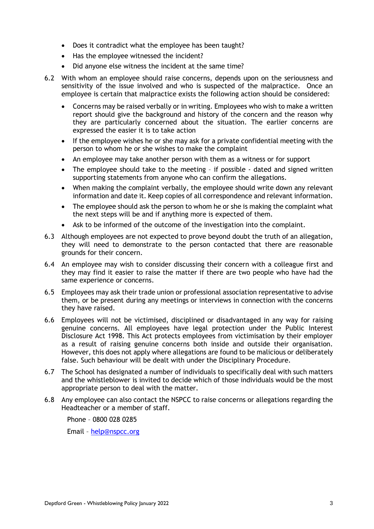- Does it contradict what the employee has been taught?
- Has the employee witnessed the incident?
- Did anyone else witness the incident at the same time?
- 6.2 With whom an employee should raise concerns, depends upon on the seriousness and sensitivity of the issue involved and who is suspected of the malpractice. Once an employee is certain that malpractice exists the following action should be considered:
	- Concerns may be raised verbally or in writing. Employees who wish to make a written report should give the background and history of the concern and the reason why they are particularly concerned about the situation. The earlier concerns are expressed the easier it is to take action
	- If the employee wishes he or she may ask for a private confidential meeting with the person to whom he or she wishes to make the complaint
	- An employee may take another person with them as a witness or for support
	- The employee should take to the meeting if possible dated and signed written supporting statements from anyone who can confirm the allegations.
	- When making the complaint verbally, the employee should write down any relevant information and date it. Keep copies of all correspondence and relevant information.
	- The employee should ask the person to whom he or she is making the complaint what the next steps will be and if anything more is expected of them.
	- Ask to be informed of the outcome of the investigation into the complaint.
- 6.3 Although employees are not expected to prove beyond doubt the truth of an allegation, they will need to demonstrate to the person contacted that there are reasonable grounds for their concern.
- 6.4 An employee may wish to consider discussing their concern with a colleague first and they may find it easier to raise the matter if there are two people who have had the same experience or concerns.
- 6.5 Employees may ask their trade union or professional association representative to advise them, or be present during any meetings or interviews in connection with the concerns they have raised.
- 6.6 Employees will not be victimised, disciplined or disadvantaged in any way for raising genuine concerns. All employees have legal protection under the Public Interest Disclosure Act 1998. This Act protects employees from victimisation by their employer as a result of raising genuine concerns both inside and outside their organisation. However, this does not apply where allegations are found to be malicious or deliberately false. Such behaviour will be dealt with under the Disciplinary Procedure.
- 6.7 The School has designated a number of individuals to specifically deal with such matters and the whistleblower is invited to decide which of those individuals would be the most appropriate person to deal with the matter.
- 6.8 Any employee can also contact the NSPCC to raise concerns or allegations regarding the Headteacher or a member of staff.

Phone – 0800 028 0285

Email – [help@nspcc.org](mailto:help@nspcc.org)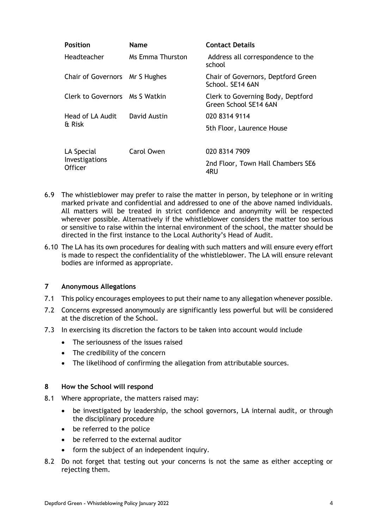| <b>Position</b>                                | <b>Name</b>      | <b>Contact Details</b>                                     |
|------------------------------------------------|------------------|------------------------------------------------------------|
| Headteacher                                    | Ms Emma Thurston | Address all correspondence to the<br>school                |
| Chair of Governors Mr S Hughes                 |                  | Chair of Governors, Deptford Green<br>School. SE14 6AN     |
| Clerk to Governors Ms S Watkin                 |                  | Clerk to Governing Body, Deptford<br>Green School SE14 6AN |
| Head of LA Audit<br>& Risk                     | David Austin     | 020 8314 9114                                              |
|                                                |                  | 5th Floor, Laurence House                                  |
| LA Special<br>Investigations<br><b>Officer</b> | Carol Owen       | 020 8314 7909                                              |
|                                                |                  | 2nd Floor, Town Hall Chambers SE6<br>4RU                   |

- 6.9 The whistleblower may prefer to raise the matter in person, by telephone or in writing marked private and confidential and addressed to one of the above named individuals. All matters will be treated in strict confidence and anonymity will be respected wherever possible. Alternatively if the whistleblower considers the matter too serious or sensitive to raise within the internal environment of the school, the matter should be directed in the first instance to the Local Authority's Head of Audit.
- 6.10 The LA has its own procedures for dealing with such matters and will ensure every effort is made to respect the confidentiality of the whistleblower. The LA will ensure relevant bodies are informed as appropriate.

## **7 Anonymous Allegations**

- 7.1 This policy encourages employees to put their name to any allegation whenever possible.
- 7.2 Concerns expressed anonymously are significantly less powerful but will be considered at the discretion of the School.
- 7.3 In exercising its discretion the factors to be taken into account would include
	- The seriousness of the issues raised
	- The credibility of the concern
	- The likelihood of confirming the allegation from attributable sources.

#### **8 How the School will respond**

- 8.1 Where appropriate, the matters raised may:
	- be investigated by leadership, the school governors, LA internal audit, or through the disciplinary procedure
	- be referred to the police
	- be referred to the external auditor
	- form the subject of an independent inquiry.
- 8.2 Do not forget that testing out your concerns is not the same as either accepting or rejecting them.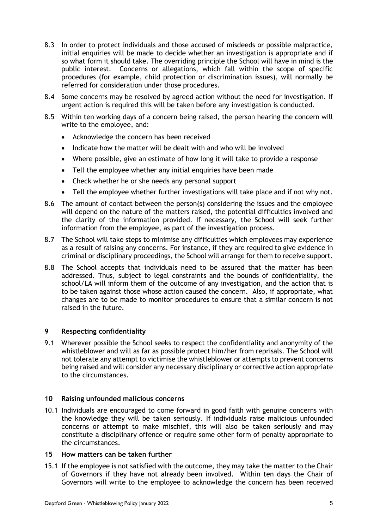- 8.3 In order to protect individuals and those accused of misdeeds or possible malpractice, initial enquiries will be made to decide whether an investigation is appropriate and if so what form it should take. The overriding principle the School will have in mind is the public interest. Concerns or allegations, which fall within the scope of specific procedures (for example, child protection or discrimination issues), will normally be referred for consideration under those procedures.
- 8.4 Some concerns may be resolved by agreed action without the need for investigation. If urgent action is required this will be taken before any investigation is conducted.
- 8.5 Within ten working days of a concern being raised, the person hearing the concern will write to the employee, and:
	- Acknowledge the concern has been received
	- Indicate how the matter will be dealt with and who will be involved
	- Where possible, give an estimate of how long it will take to provide a response
	- Tell the employee whether any initial enquiries have been made
	- Check whether he or she needs any personal support
	- Tell the employee whether further investigations will take place and if not why not.
- 8.6 The amount of contact between the person(s) considering the issues and the employee will depend on the nature of the matters raised, the potential difficulties involved and the clarity of the information provided. If necessary, the School will seek further information from the employee, as part of the investigation process.
- 8.7 The School will take steps to minimise any difficulties which employees may experience as a result of raising any concerns. For instance, if they are required to give evidence in criminal or disciplinary proceedings, the School will arrange for them to receive support.
- 8.8 The School accepts that individuals need to be assured that the matter has been addressed. Thus, subject to legal constraints and the bounds of confidentiality, the school/LA will inform them of the outcome of any investigation, and the action that is to be taken against those whose action caused the concern. Also, if appropriate, what changes are to be made to monitor procedures to ensure that a similar concern is not raised in the future.

## **9 Respecting confidentiality**

9.1 Wherever possible the School seeks to respect the confidentiality and anonymity of the whistleblower and will as far as possible protect him/her from reprisals. The School will not tolerate any attempt to victimise the whistleblower or attempts to prevent concerns being raised and will consider any necessary disciplinary or corrective action appropriate to the circumstances.

## **10 Raising unfounded malicious concerns**

10.1 Individuals are encouraged to come forward in good faith with genuine concerns with the knowledge they will be taken seriously. If individuals raise malicious unfounded concerns or attempt to make mischief, this will also be taken seriously and may constitute a disciplinary offence or require some other form of penalty appropriate to the circumstances.

#### **15 How matters can be taken further**

15.1 If the employee is not satisfied with the outcome, they may take the matter to the Chair of Governors if they have not already been involved. Within ten days the Chair of Governors will write to the employee to acknowledge the concern has been received